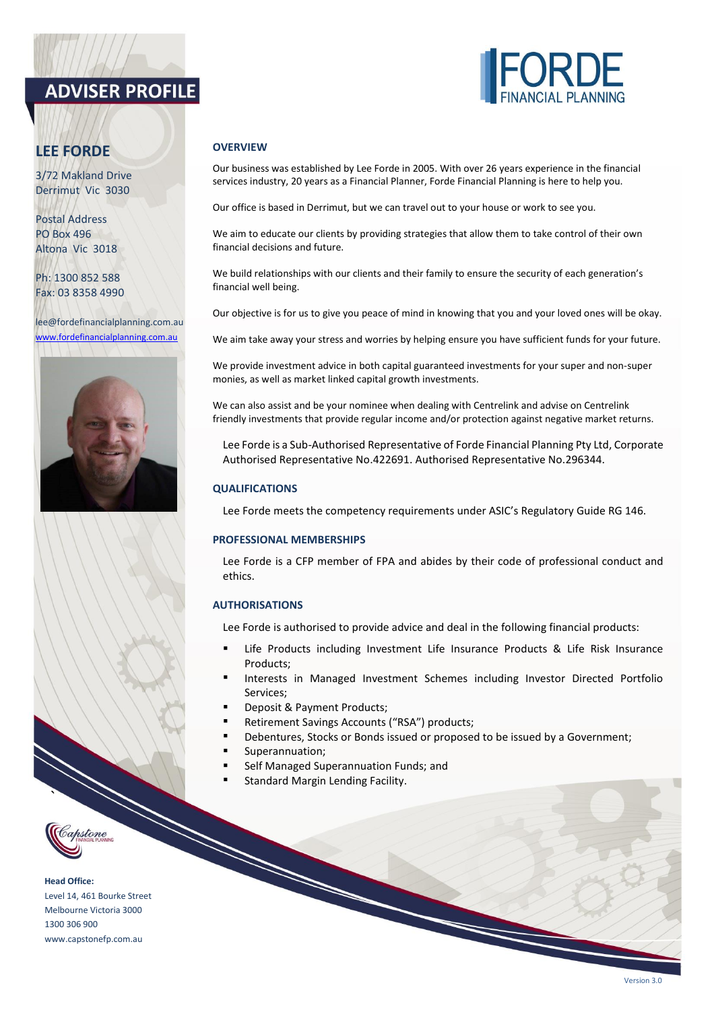# **ADVISER PROFILE**



3/72 Makland Drive Derrimut Vic 3030

Postal Address PO Box 496 Altona Vic 3018

Ph: 1300 852 588 Fax: 03 8358 4990

lee@fordefinancialplanning.com.au [www.fordefinancialplanning.com.au](http://www.fordefinancialplanning.com.au/)



## **OVERVIEW**

Our business was established by Lee Forde in 2005. With over 26 years experience in the financial services industry, 20 years as a Financial Planner, Forde Financial Planning is here to help you.

Our office is based in Derrimut, but we can travel out to your house or work to see you.

We aim to educate our clients by providing strategies that allow them to take control of their own financial decisions and future.

We build relationships with our clients and their family to ensure the security of each generation's financial well being.

Our objective is for us to give you peace of mind in knowing that you and your loved ones will be okay.

We aim take away your stress and worries by helping ensure you have sufficient funds for your future.

We provide investment advice in both capital guaranteed investments for your super and non-super monies, as well as market linked capital growth investments.

We can also assist and be your nominee when dealing with Centrelink and advise on Centrelink friendly investments that provide regular income and/or protection against negative market returns.

Lee Forde is a Sub-Authorised Representative of Forde Financial Planning Pty Ltd, Corporate Authorised Representative No.422691. Authorised Representative No.296344.

## **QUALIFICATIONS**

Lee Forde meets the competency requirements under ASIC's Regulatory Guide RG 146.

#### **PROFESSIONAL MEMBERSHIPS**

Lee Forde is a CFP member of FPA and abides by their code of professional conduct and ethics.

## **AUTHORISATIONS**

Lee Forde is authorised to provide advice and deal in the following financial products:

- **■** Life Products including Investment Life Insurance Products & Life Risk Insurance Products;
- Interests in Managed Investment Schemes including Investor Directed Portfolio Services;
- Deposit & Payment Products;
- Retirement Savings Accounts ("RSA") products;
- **EXEDED** Debentures, Stocks or Bonds issued or proposed to be issued by a Government;
- Superannuation;
- Self Managed Superannuation Funds; and
- Standard Margin Lending Facility.



**`**

**Head Office:** Level 14, 461 Bourke Street Melbourne Victoria 3000 1300 306 900 www.capstonefp.com.au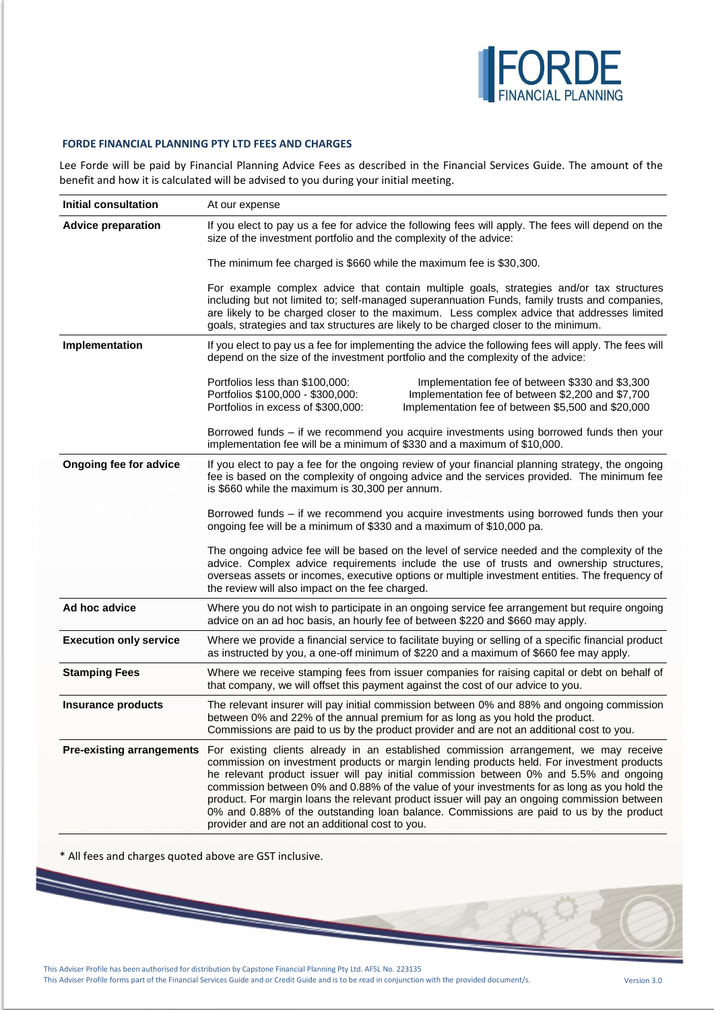

## **FORDE FINANCIAL PLANNING PTY LTD FEES AND CHARGES**

Lee Forde will be paid by Financial Planning Advice Fees as described in the Financial Services Guide. The amount of the benefit and how it is calculated will be advised to you during your initial meeting.

| <b>Initial consultation</b>   | At our expense                                                                                                                                                                                                                                                                                                                                                                                                                                                                                                                                                                                                                                               |  |  |
|-------------------------------|--------------------------------------------------------------------------------------------------------------------------------------------------------------------------------------------------------------------------------------------------------------------------------------------------------------------------------------------------------------------------------------------------------------------------------------------------------------------------------------------------------------------------------------------------------------------------------------------------------------------------------------------------------------|--|--|
| <b>Advice preparation</b>     | If you elect to pay us a fee for advice the following fees will apply. The fees will depend on the<br>size of the investment portfolio and the complexity of the advice:                                                                                                                                                                                                                                                                                                                                                                                                                                                                                     |  |  |
|                               | The minimum fee charged is \$660 while the maximum fee is \$30,300.                                                                                                                                                                                                                                                                                                                                                                                                                                                                                                                                                                                          |  |  |
|                               | For example complex advice that contain multiple goals, strategies and/or tax structures<br>including but not limited to; self-managed superannuation Funds, family trusts and companies,<br>are likely to be charged closer to the maximum. Less complex advice that addresses limited<br>goals, strategies and tax structures are likely to be charged closer to the minimum.                                                                                                                                                                                                                                                                              |  |  |
| Implementation                | If you elect to pay us a fee for implementing the advice the following fees will apply. The fees will<br>depend on the size of the investment portfolio and the complexity of the advice:                                                                                                                                                                                                                                                                                                                                                                                                                                                                    |  |  |
|                               | Portfolios less than \$100,000:<br>Implementation fee of between \$330 and \$3,300<br>Portfolios \$100,000 - \$300,000:<br>Implementation fee of between \$2,200 and \$7,700<br>Portfolios in excess of \$300,000:<br>Implementation fee of between \$5,500 and \$20,000                                                                                                                                                                                                                                                                                                                                                                                     |  |  |
|                               | Borrowed funds - if we recommend you acquire investments using borrowed funds then your<br>implementation fee will be a minimum of \$330 and a maximum of \$10,000.                                                                                                                                                                                                                                                                                                                                                                                                                                                                                          |  |  |
| Ongoing fee for advice        | If you elect to pay a fee for the ongoing review of your financial planning strategy, the ongoing<br>fee is based on the complexity of ongoing advice and the services provided. The minimum fee<br>is \$660 while the maximum is 30,300 per annum.                                                                                                                                                                                                                                                                                                                                                                                                          |  |  |
|                               | Borrowed funds - if we recommend you acquire investments using borrowed funds then your<br>ongoing fee will be a minimum of \$330 and a maximum of \$10,000 pa.                                                                                                                                                                                                                                                                                                                                                                                                                                                                                              |  |  |
|                               | The ongoing advice fee will be based on the level of service needed and the complexity of the<br>advice. Complex advice requirements include the use of trusts and ownership structures,<br>overseas assets or incomes, executive options or multiple investment entities. The frequency of<br>the review will also impact on the fee charged.                                                                                                                                                                                                                                                                                                               |  |  |
| Ad hoc advice                 | Where you do not wish to participate in an ongoing service fee arrangement but require ongoing<br>advice on an ad hoc basis, an hourly fee of between \$220 and \$660 may apply.                                                                                                                                                                                                                                                                                                                                                                                                                                                                             |  |  |
| <b>Execution only service</b> | Where we provide a financial service to facilitate buying or selling of a specific financial product<br>as instructed by you, a one-off minimum of \$220 and a maximum of \$660 fee may apply.                                                                                                                                                                                                                                                                                                                                                                                                                                                               |  |  |
| <b>Stamping Fees</b>          | Where we receive stamping fees from issuer companies for raising capital or debt on behalf of<br>that company, we will offset this payment against the cost of our advice to you.                                                                                                                                                                                                                                                                                                                                                                                                                                                                            |  |  |
| <b>Insurance products</b>     | The relevant insurer will pay initial commission between 0% and 88% and ongoing commission<br>between 0% and 22% of the annual premium for as long as you hold the product.<br>Commissions are paid to us by the product provider and are not an additional cost to you.                                                                                                                                                                                                                                                                                                                                                                                     |  |  |
|                               | <b>Pre-existing arrangements</b> For existing clients already in an established commission arrangement, we may receive<br>commission on investment products or margin lending products held. For investment products<br>he relevant product issuer will pay initial commission between 0% and 5.5% and ongoing<br>commission between 0% and 0.88% of the value of your investments for as long as you hold the<br>product. For margin loans the relevant product issuer will pay an ongoing commission between<br>0% and 0.88% of the outstanding loan balance. Commissions are paid to us by the product<br>provider and are not an additional cost to you. |  |  |

\* All fees and charges quoted above are GST inclusive.

 $\overline{}$ 

This Adviser Profile has been authorised for distribution by Capstone Financial Planning Pty Ltd. AFSL No. 223135 This Adviser Profile forms part of the Financial Services Guide and or Credit Guide and is to be read in conjunction with the provided document/s. Version 3.0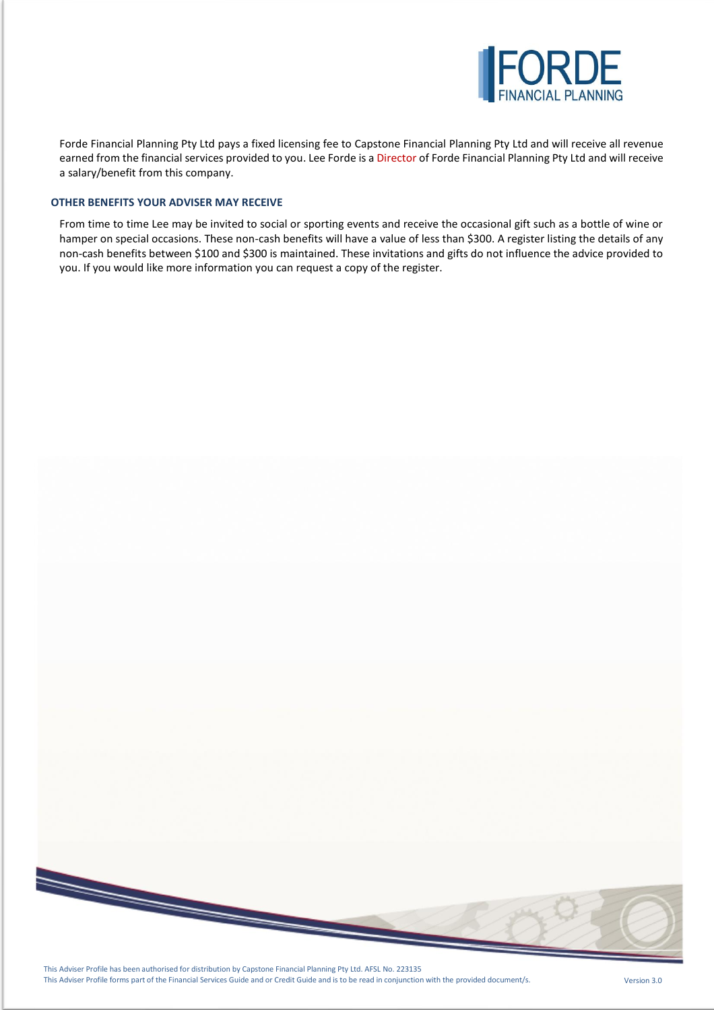

Forde Financial Planning Pty Ltd pays a fixed licensing fee to Capstone Financial Planning Pty Ltd and will receive all revenue earned from the financial services provided to you. Lee Forde is a Director of Forde Financial Planning Pty Ltd and will receive a salary/benefit from this company.

### **OTHER BENEFITS YOUR ADVISER MAY RECEIVE**

From time to time Lee may be invited to social or sporting events and receive the occasional gift such as a bottle of wine or hamper on special occasions. These non-cash benefits will have a value of less than \$300. A register listing the details of any non-cash benefits between \$100 and \$300 is maintained. These invitations and gifts do not influence the advice provided to you. If you would like more information you can request a copy of the register.



This Adviser Profile has been authorised for distribution by Capstone Financial Planning Pty Ltd. AFSL No. 223135 This Adviser Profile forms part of the Financial Services Guide and or Credit Guide and is to be read in conjunction with the provided document/s. Version 3.0